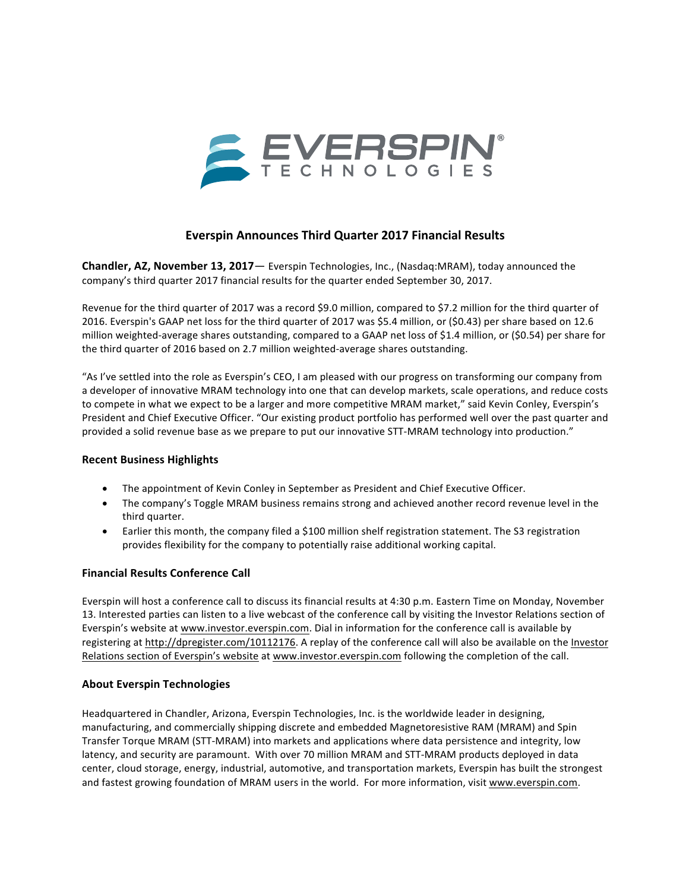

## **Everspin Announces Third Quarter 2017 Financial Results**

**Chandler, AZ, November 13, 2017**— Everspin Technologies, Inc., (Nasdaq:MRAM), today announced the company's third quarter 2017 financial results for the quarter ended September 30, 2017.

Revenue for the third quarter of 2017 was a record \$9.0 million, compared to \$7.2 million for the third quarter of 2016. Everspin's GAAP net loss for the third quarter of 2017 was \$5.4 million, or (\$0.43) per share based on 12.6 million weighted-average shares outstanding, compared to a GAAP net loss of \$1.4 million, or (\$0.54) per share for the third quarter of 2016 based on 2.7 million weighted-average shares outstanding.

"As I've settled into the role as Everspin's CEO, I am pleased with our progress on transforming our company from a developer of innovative MRAM technology into one that can develop markets, scale operations, and reduce costs to compete in what we expect to be a larger and more competitive MRAM market," said Kevin Conley, Everspin's President and Chief Executive Officer. "Our existing product portfolio has performed well over the past quarter and provided a solid revenue base as we prepare to put our innovative STT-MRAM technology into production."

#### **Recent Business Highlights**

- The appointment of Kevin Conley in September as President and Chief Executive Officer.
- The company's Toggle MRAM business remains strong and achieved another record revenue level in the third quarter.
- Earlier this month, the company filed a \$100 million shelf registration statement. The S3 registration provides flexibility for the company to potentially raise additional working capital.

#### **Financial Results Conference Call**

Everspin will host a conference call to discuss its financial results at 4:30 p.m. Eastern Time on Monday, November 13. Interested parties can listen to a live webcast of the conference call by visiting the Investor Relations section of Everspin's website at www.investor.everspin.com. Dial in information for the conference call is available by registering at http://dpregister.com/10112176. A replay of the conference call will also be available on the Investor Relations section of Everspin's website at www.investor.everspin.com following the completion of the call.

#### **About Everspin Technologies**

Headquartered in Chandler, Arizona, Everspin Technologies, Inc. is the worldwide leader in designing, manufacturing, and commercially shipping discrete and embedded Magnetoresistive RAM (MRAM) and Spin Transfer Torque MRAM (STT-MRAM) into markets and applications where data persistence and integrity, low latency, and security are paramount. With over 70 million MRAM and STT-MRAM products deployed in data center, cloud storage, energy, industrial, automotive, and transportation markets, Everspin has built the strongest and fastest growing foundation of MRAM users in the world. For more information, visit www.everspin.com.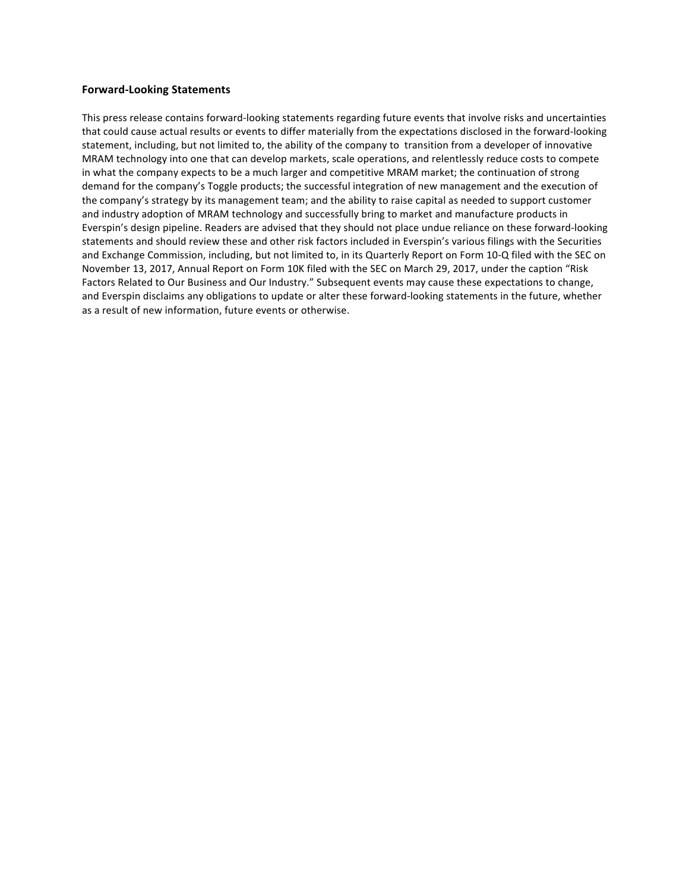#### **Forward-Looking Statements**

This press release contains forward-looking statements regarding future events that involve risks and uncertainties that could cause actual results or events to differ materially from the expectations disclosed in the forward-looking statement, including, but not limited to, the ability of the company to transition from a developer of innovative MRAM technology into one that can develop markets, scale operations, and relentlessly reduce costs to compete in what the company expects to be a much larger and competitive MRAM market; the continuation of strong demand for the company's Toggle products; the successful integration of new management and the execution of the company's strategy by its management team; and the ability to raise capital as needed to support customer and industry adoption of MRAM technology and successfully bring to market and manufacture products in Everspin's design pipeline. Readers are advised that they should not place undue reliance on these forward-looking statements and should review these and other risk factors included in Everspin's various filings with the Securities and Exchange Commission, including, but not limited to, in its Quarterly Report on Form 10-Q filed with the SEC on November 13, 2017, Annual Report on Form 10K filed with the SEC on March 29, 2017, under the caption "Risk Factors Related to Our Business and Our Industry." Subsequent events may cause these expectations to change, and Everspin disclaims any obligations to update or alter these forward-looking statements in the future, whether as a result of new information, future events or otherwise.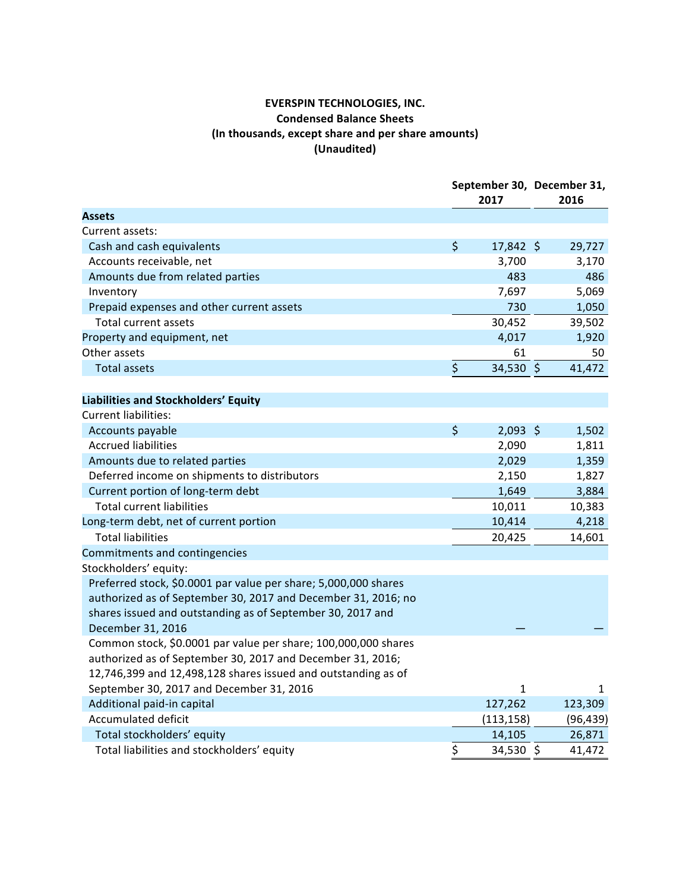## **EVERSPIN TECHNOLOGIES, INC. Condensed Balance Sheets** (In thousands, except share and per share amounts) **(Unaudited)**

|                                                                 | September 30, December 31,<br>2017 |              | 2016 |           |
|-----------------------------------------------------------------|------------------------------------|--------------|------|-----------|
| <b>Assets</b>                                                   |                                    |              |      |           |
| Current assets:                                                 |                                    |              |      |           |
| Cash and cash equivalents                                       | \$                                 | $17,842$ \$  |      | 29,727    |
| Accounts receivable, net                                        |                                    | 3,700        |      | 3,170     |
| Amounts due from related parties                                |                                    | 483          |      | 486       |
| Inventory                                                       |                                    | 7,697        |      | 5,069     |
| Prepaid expenses and other current assets                       |                                    | 730          |      | 1,050     |
| <b>Total current assets</b>                                     |                                    | 30,452       |      | 39,502    |
| Property and equipment, net                                     |                                    | 4,017        |      | 1,920     |
| Other assets                                                    |                                    | 61           |      | 50        |
| <b>Total assets</b>                                             | \$                                 | 34,530 \$    |      | 41,472    |
|                                                                 |                                    |              |      |           |
| Liabilities and Stockholders' Equity                            |                                    |              |      |           |
| <b>Current liabilities:</b>                                     |                                    |              |      |           |
| Accounts payable                                                | $\zeta$                            | $2,093$ \$   |      | 1,502     |
| <b>Accrued liabilities</b>                                      |                                    | 2,090        |      | 1,811     |
| Amounts due to related parties                                  |                                    | 2,029        |      | 1,359     |
| Deferred income on shipments to distributors                    |                                    | 2,150        |      | 1,827     |
| Current portion of long-term debt                               |                                    | 1,649        |      | 3,884     |
| <b>Total current liabilities</b>                                |                                    | 10,011       |      | 10,383    |
| Long-term debt, net of current portion                          |                                    | 10,414       |      | 4,218     |
| <b>Total liabilities</b>                                        |                                    | 20,425       |      | 14,601    |
| Commitments and contingencies                                   |                                    |              |      |           |
| Stockholders' equity:                                           |                                    |              |      |           |
| Preferred stock, \$0.0001 par value per share; 5,000,000 shares |                                    |              |      |           |
| authorized as of September 30, 2017 and December 31, 2016; no   |                                    |              |      |           |
| shares issued and outstanding as of September 30, 2017 and      |                                    |              |      |           |
| December 31, 2016                                               |                                    |              |      |           |
| Common stock, \$0.0001 par value per share; 100,000,000 shares  |                                    |              |      |           |
| authorized as of September 30, 2017 and December 31, 2016;      |                                    |              |      |           |
| 12,746,399 and 12,498,128 shares issued and outstanding as of   |                                    |              |      |           |
| September 30, 2017 and December 31, 2016                        |                                    | $\mathbf{1}$ |      | 1         |
| Additional paid-in capital                                      |                                    | 127,262      |      | 123,309   |
| <b>Accumulated deficit</b>                                      |                                    | (113, 158)   |      | (96, 439) |
| Total stockholders' equity                                      |                                    | 14,105       |      | 26,871    |
| Total liabilities and stockholders' equity                      | \$                                 | 34,530 \$    |      | 41,472    |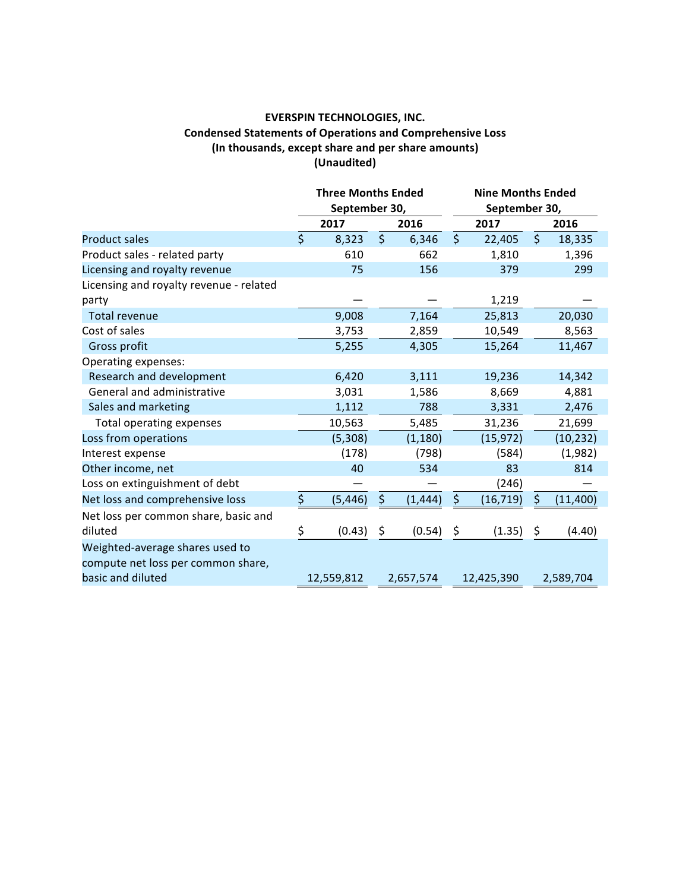### **EVERSPIN TECHNOLOGIES, INC. Condensed Statements of Operations and Comprehensive Loss** (In thousands, except share and per share amounts) **(Unaudited)**

|                                                                                            | <b>Three Months Ended</b><br>September 30, |            | <b>Nine Months Ended</b><br>September 30, |           |                         |            |         |           |
|--------------------------------------------------------------------------------------------|--------------------------------------------|------------|-------------------------------------------|-----------|-------------------------|------------|---------|-----------|
|                                                                                            |                                            | 2017       |                                           | 2016      |                         | 2017       |         | 2016      |
| <b>Product sales</b>                                                                       | $\dot{\mathsf{S}}$                         | 8,323      | $\zeta$                                   | 6,346     | $\overline{\mathsf{S}}$ | 22,405     | $\zeta$ | 18,335    |
| Product sales - related party                                                              |                                            | 610        |                                           | 662       |                         | 1,810      |         | 1,396     |
| Licensing and royalty revenue                                                              |                                            | 75         |                                           | 156       |                         | 379        |         | 299       |
| Licensing and royalty revenue - related                                                    |                                            |            |                                           |           |                         |            |         |           |
| party                                                                                      |                                            |            |                                           |           |                         | 1,219      |         |           |
| <b>Total revenue</b>                                                                       |                                            | 9,008      |                                           | 7,164     |                         | 25,813     |         | 20,030    |
| Cost of sales                                                                              |                                            | 3,753      |                                           | 2,859     |                         | 10,549     |         | 8,563     |
| Gross profit                                                                               |                                            | 5,255      |                                           | 4,305     |                         | 15,264     |         | 11,467    |
| Operating expenses:                                                                        |                                            |            |                                           |           |                         |            |         |           |
| Research and development                                                                   |                                            | 6,420      |                                           | 3,111     |                         | 19,236     |         | 14,342    |
| General and administrative                                                                 |                                            | 3,031      |                                           | 1,586     |                         | 8,669      |         | 4,881     |
| Sales and marketing                                                                        |                                            | 1,112      |                                           | 788       |                         | 3,331      |         | 2,476     |
| Total operating expenses                                                                   |                                            | 10,563     |                                           | 5,485     |                         | 31,236     |         | 21,699    |
| Loss from operations                                                                       |                                            | (5,308)    |                                           | (1, 180)  |                         | (15, 972)  |         | (10, 232) |
| Interest expense                                                                           |                                            | (178)      |                                           | (798)     |                         | (584)      |         | (1,982)   |
| Other income, net                                                                          |                                            | 40         |                                           | 534       |                         | 83         |         | 814       |
| Loss on extinguishment of debt                                                             |                                            |            |                                           |           |                         | (246)      |         |           |
| Net loss and comprehensive loss                                                            | \$                                         | (5, 446)   | \$                                        | (1, 444)  | \$                      | (16, 719)  | \$      | (11, 400) |
| Net loss per common share, basic and                                                       |                                            |            |                                           |           |                         |            |         |           |
| diluted                                                                                    | \$                                         | (0.43)     | \$                                        | (0.54)    | \$                      | (1.35)     | \$      | (4.40)    |
| Weighted-average shares used to<br>compute net loss per common share,<br>basic and diluted |                                            | 12,559,812 |                                           | 2,657,574 |                         | 12,425,390 |         | 2,589,704 |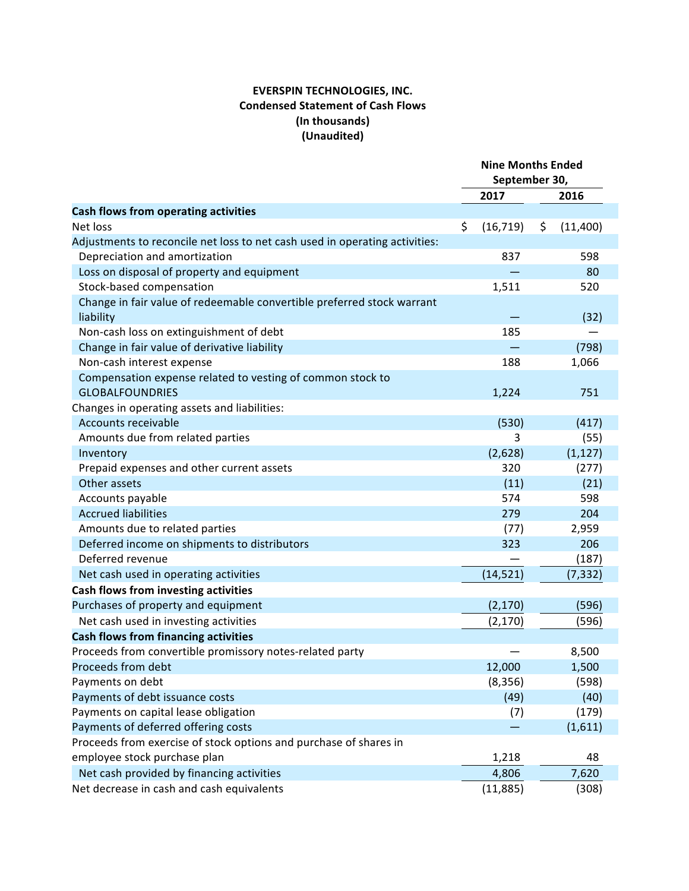## **EVERSPIN TECHNOLOGIES, INC. Condensed Statement of Cash Flows (In thousands) (Unaudited)**

|                                                                                     | <b>Nine Months Ended</b><br>September 30, |    |          |
|-------------------------------------------------------------------------------------|-------------------------------------------|----|----------|
|                                                                                     | 2017                                      |    | 2016     |
| Cash flows from operating activities                                                |                                           |    |          |
| Net loss                                                                            | \$<br>(16, 719)                           | \$ | (11,400) |
| Adjustments to reconcile net loss to net cash used in operating activities:         |                                           |    |          |
| Depreciation and amortization                                                       | 837                                       |    | 598      |
| Loss on disposal of property and equipment                                          |                                           |    | 80       |
| Stock-based compensation                                                            | 1,511                                     |    | 520      |
| Change in fair value of redeemable convertible preferred stock warrant<br>liability |                                           |    | (32)     |
| Non-cash loss on extinguishment of debt                                             | 185                                       |    |          |
| Change in fair value of derivative liability                                        |                                           |    | (798)    |
| Non-cash interest expense                                                           | 188                                       |    | 1,066    |
| Compensation expense related to vesting of common stock to                          |                                           |    |          |
| <b>GLOBALFOUNDRIES</b>                                                              | 1,224                                     |    | 751      |
| Changes in operating assets and liabilities:                                        |                                           |    |          |
| Accounts receivable                                                                 | (530)                                     |    | (417)    |
| Amounts due from related parties                                                    | 3                                         |    | (55)     |
| Inventory                                                                           | (2,628)                                   |    | (1, 127) |
| Prepaid expenses and other current assets                                           | 320                                       |    | (277)    |
| Other assets                                                                        | (11)                                      |    | (21)     |
| Accounts payable                                                                    | 574                                       |    | 598      |
| <b>Accrued liabilities</b>                                                          | 279                                       |    | 204      |
| Amounts due to related parties                                                      | (77)                                      |    | 2,959    |
| Deferred income on shipments to distributors                                        | 323                                       |    | 206      |
| Deferred revenue                                                                    |                                           |    | (187)    |
| Net cash used in operating activities                                               | (14, 521)                                 |    | (7, 332) |
| <b>Cash flows from investing activities</b>                                         |                                           |    |          |
| Purchases of property and equipment                                                 | (2, 170)                                  |    | (596)    |
| Net cash used in investing activities                                               | (2, 170)                                  |    | (596)    |
| <b>Cash flows from financing activities</b>                                         |                                           |    |          |
| Proceeds from convertible promissory notes-related party                            |                                           |    | 8,500    |
| Proceeds from debt                                                                  | 12,000                                    |    | 1,500    |
| Payments on debt                                                                    | (8, 356)                                  |    | (598)    |
| Payments of debt issuance costs                                                     | (49)                                      |    | (40)     |
| Payments on capital lease obligation                                                | (7)                                       |    | (179)    |
| Payments of deferred offering costs                                                 |                                           |    | (1,611)  |
| Proceeds from exercise of stock options and purchase of shares in                   |                                           |    |          |
| employee stock purchase plan                                                        | 1,218                                     |    | 48       |
| Net cash provided by financing activities                                           | 4,806                                     |    | 7,620    |
| Net decrease in cash and cash equivalents                                           | (11, 885)                                 |    | (308)    |